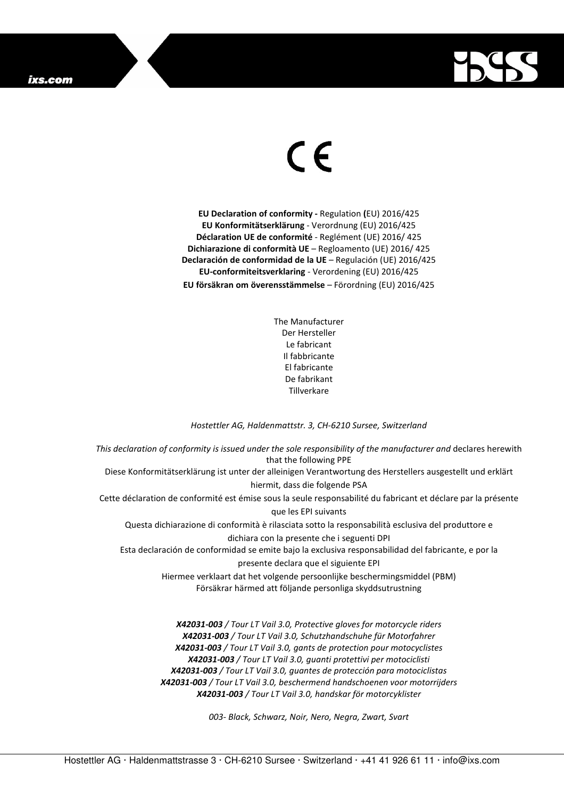

## $\in$

**EU Declaration of conformity -** Regulation **(**EU) 2016/425 **EU Konformitätserklärung** - Verordnung (EU) 2016/425 **Déclaration UE de conformité** - Reglément (UE) 2016/ 425 **Dichiarazione di conformità UE** – Regloamento (UE) 2016/ 425 **Declaración de conformidad de la UE** – Regulación (UE) 2016/425 **EU-conformiteitsverklaring** - Verordening (EU) 2016/425 **EU försäkran om överensstämmelse** – Förordning (EU) 2016/425

> The Manufacturer Der Hersteller Le fabricant Il fabbricante El fabricante De fabrikant Tillverkare

## *Hostettler AG, Haldenmattstr. 3, CH-6210 Sursee, Switzerland*

*This declaration of conformity is issued under the sole responsibility of the manufacturer and* declares herewith that the following PPE Diese Konformitätserklärung ist unter der alleinigen Verantwortung des Herstellers ausgestellt und erklärt hiermit, dass die folgende PSA Cette déclaration de conformité est émise sous la seule responsabilité du fabricant et déclare par la présente que les EPI suivants Questa dichiarazione di conformità è rilasciata sotto la responsabilità esclusiva del produttore e dichiara con la presente che i seguenti DPI Esta declaración de conformidad se emite bajo la exclusiva responsabilidad del fabricante, e por la presente declara que el siguiente EPI Hiermee verklaart dat het volgende persoonlijke beschermingsmiddel (PBM) Försäkrar härmed att följande personliga skyddsutrustning *X42031-003 / Tour LT Vail 3.0, Protective gloves for motorcycle riders* 

*X42031-003 / Tour LT Vail 3.0, Schutzhandschuhe für Motorfahrer X42031-003 / Tour LT Vail 3.0, gants de protection pour motocyclistes X42031-003 / Tour LT Vail 3.0, guanti protettivi per motociclisti X42031-003 / Tour LT Vail 3.0, guantes de protección para motociclistas X42031-003 / Tour LT Vail 3.0, beschermend handschoenen voor motorrijders X42031-003 / Tour LT Vail 3.0, handskar för motorcyklister* 

*003- Black, Schwarz, Noir, Nero, Negra, Zwart, Svart*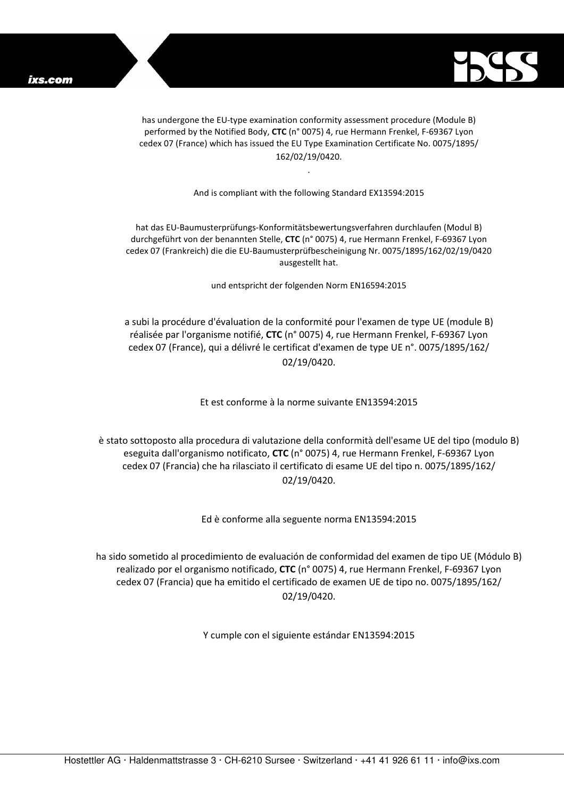

has undergone the EU-type examination conformity assessment procedure (Module B) performed by the Notified Body, **CTC** (n° 0075) 4, rue Hermann Frenkel, F-69367 Lyon cedex 07 (France) which has issued the EU Type Examination Certificate No. 0075/1895/ 162/02/19/0420.

And is compliant with the following Standard EX13594:2015

.

hat das EU-Baumusterprüfungs-Konformitätsbewertungsverfahren durchlaufen (Modul B) durchgeführt von der benannten Stelle, **CTC** (n° 0075) 4, rue Hermann Frenkel, F-69367 Lyon cedex 07 (Frankreich) die die EU-Baumusterprüfbescheinigung Nr. 0075/1895/162/02/19/0420 ausgestellt hat.

und entspricht der folgenden Norm EN16594:2015

a subi la procédure d'évaluation de la conformité pour l'examen de type UE (module B) réalisée par l'organisme notifié, **CTC** (n° 0075) 4, rue Hermann Frenkel, F-69367 Lyon cedex 07 (France), qui a délivré le certificat d'examen de type UE n°. 0075/1895/162/ 02/19/0420.

Et est conforme à la norme suivante EN13594:2015

è stato sottoposto alla procedura di valutazione della conformità dell'esame UE del tipo (modulo B) eseguita dall'organismo notificato, **CTC** (n° 0075) 4, rue Hermann Frenkel, F-69367 Lyon cedex 07 (Francia) che ha rilasciato il certificato di esame UE del tipo n. 0075/1895/162/ 02/19/0420.

Ed è conforme alla seguente norma EN13594:2015

ha sido sometido al procedimiento de evaluación de conformidad del examen de tipo UE (Módulo B) realizado por el organismo notificado, **CTC** (n° 0075) 4, rue Hermann Frenkel, F-69367 Lyon cedex 07 (Francia) que ha emitido el certificado de examen UE de tipo no. 0075/1895/162/ 02/19/0420.

Y cumple con el siguiente estándar EN13594:2015